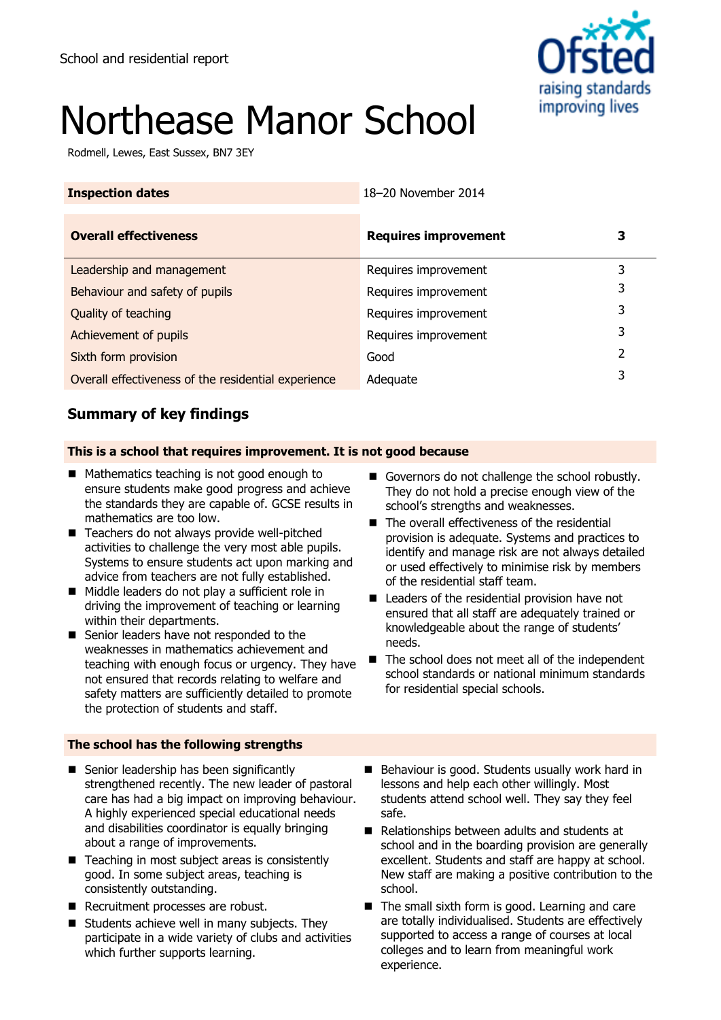

# Northease Manor School

Rodmell, Lewes, East Sussex, BN7 3EY

| <b>Inspection dates</b>                             | 18-20 November 2014         |   |
|-----------------------------------------------------|-----------------------------|---|
| <b>Overall effectiveness</b>                        | <b>Requires improvement</b> | З |
| Leadership and management                           | Requires improvement        | 3 |
| Behaviour and safety of pupils                      | Requires improvement        | 3 |
| Quality of teaching                                 | Requires improvement        | 3 |
| Achievement of pupils                               | Requires improvement        | 3 |
| Sixth form provision                                | Good                        | 2 |
| Overall effectiveness of the residential experience | Adequate                    |   |

# **Summary of key findings**

### **This is a school that requires improvement. It is not good because**

- **Mathematics teaching is not good enough to** ensure students make good progress and achieve the standards they are capable of. GCSE results in mathematics are too low.
- Teachers do not always provide well-pitched activities to challenge the very most able pupils. Systems to ensure students act upon marking and advice from teachers are not fully established.
- Middle leaders do not play a sufficient role in driving the improvement of teaching or learning within their departments.
- Senior leaders have not responded to the weaknesses in mathematics achievement and teaching with enough focus or urgency. They have not ensured that records relating to welfare and safety matters are sufficiently detailed to promote the protection of students and staff.

### **The school has the following strengths**

- Senior leadership has been significantly strengthened recently. The new leader of pastoral care has had a big impact on improving behaviour. A highly experienced special educational needs and disabilities coordinator is equally bringing about a range of improvements.
- $\blacksquare$  Teaching in most subject areas is consistently good. In some subject areas, teaching is consistently outstanding.
- Recruitment processes are robust.
- Students achieve well in many subjects. They participate in a wide variety of clubs and activities which further supports learning.
- Governors do not challenge the school robustly. They do not hold a precise enough view of the school's strengths and weaknesses.
- The overall effectiveness of the residential provision is adequate. Systems and practices to identify and manage risk are not always detailed or used effectively to minimise risk by members of the residential staff team.
- Leaders of the residential provision have not ensured that all staff are adequately trained or knowledgeable about the range of students' needs.
- $\blacksquare$  The school does not meet all of the independent school standards or national minimum standards for residential special schools.
- Behaviour is good. Students usually work hard in lessons and help each other willingly. Most students attend school well. They say they feel safe.
- Relationships between adults and students at school and in the boarding provision are generally excellent. Students and staff are happy at school. New staff are making a positive contribution to the school.
- The small sixth form is good. Learning and care are totally individualised. Students are effectively supported to access a range of courses at local colleges and to learn from meaningful work experience.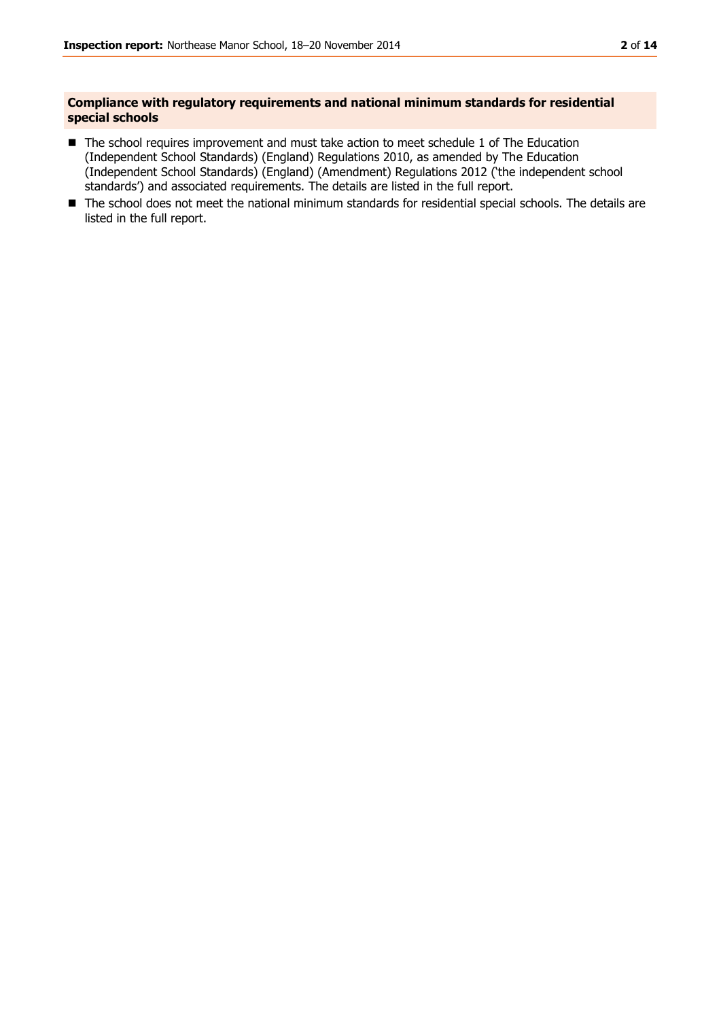#### **Compliance with regulatory requirements and national minimum standards for residential special schools**

- The school requires improvement and must take action to meet schedule 1 of The Education (Independent School Standards) (England) Regulations 2010, as amended by The Education (Independent School Standards) (England) (Amendment) Regulations 2012 ('the independent school standards') and associated requirements. The details are listed in the full report.
- The school does not meet the national minimum standards for residential special schools. The details are listed in the full report.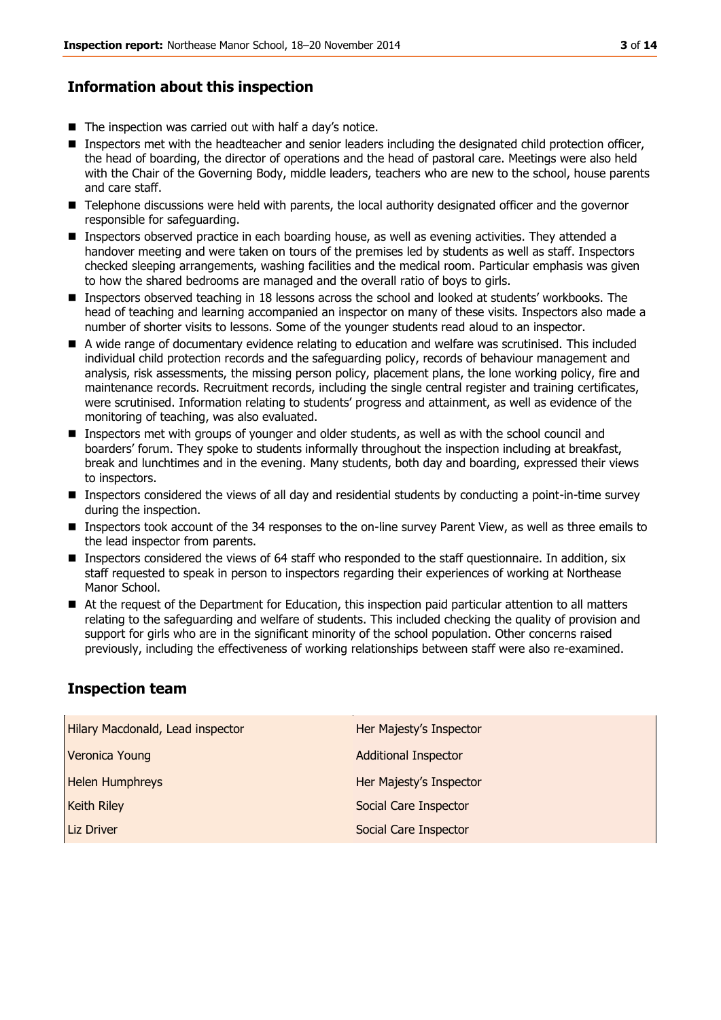# **Information about this inspection**

- $\blacksquare$  The inspection was carried out with half a day's notice.
- **Inspectors met with the headteacher and senior leaders including the designated child protection officer,** the head of boarding, the director of operations and the head of pastoral care. Meetings were also held with the Chair of the Governing Body, middle leaders, teachers who are new to the school, house parents and care staff.
- **Telephone discussions were held with parents, the local authority designated officer and the governor** responsible for safeguarding.
- **Inspectors observed practice in each boarding house, as well as evening activities. They attended a** handover meeting and were taken on tours of the premises led by students as well as staff. Inspectors checked sleeping arrangements, washing facilities and the medical room. Particular emphasis was given to how the shared bedrooms are managed and the overall ratio of boys to girls.
- Inspectors observed teaching in 18 lessons across the school and looked at students' workbooks. The head of teaching and learning accompanied an inspector on many of these visits. Inspectors also made a number of shorter visits to lessons. Some of the younger students read aloud to an inspector.
- A wide range of documentary evidence relating to education and welfare was scrutinised. This included individual child protection records and the safeguarding policy, records of behaviour management and analysis, risk assessments, the missing person policy, placement plans, the lone working policy, fire and maintenance records. Recruitment records, including the single central register and training certificates, were scrutinised. Information relating to students' progress and attainment, as well as evidence of the monitoring of teaching, was also evaluated.
- **Inspectors met with groups of younger and older students, as well as with the school council and** boarders' forum. They spoke to students informally throughout the inspection including at breakfast, break and lunchtimes and in the evening. Many students, both day and boarding, expressed their views to inspectors.
- Inspectors considered the views of all day and residential students by conducting a point-in-time survey during the inspection.
- **Inspectors took account of the 34 responses to the on-line survey Parent View, as well as three emails to** the lead inspector from parents.
- Inspectors considered the views of 64 staff who responded to the staff questionnaire. In addition, six staff requested to speak in person to inspectors regarding their experiences of working at Northease Manor School.
- At the request of the Department for Education, this inspection paid particular attention to all matters relating to the safeguarding and welfare of students. This included checking the quality of provision and support for girls who are in the significant minority of the school population. Other concerns raised previously, including the effectiveness of working relationships between staff were also re-examined.

# **Inspection team**

| Hilary Macdonald, Lead inspector | Her Majesty's Inspector     |
|----------------------------------|-----------------------------|
| Veronica Young                   | <b>Additional Inspector</b> |
| <b>Helen Humphreys</b>           | Her Majesty's Inspector     |
| <b>Keith Riley</b>               | Social Care Inspector       |
| Liz Driver                       | Social Care Inspector       |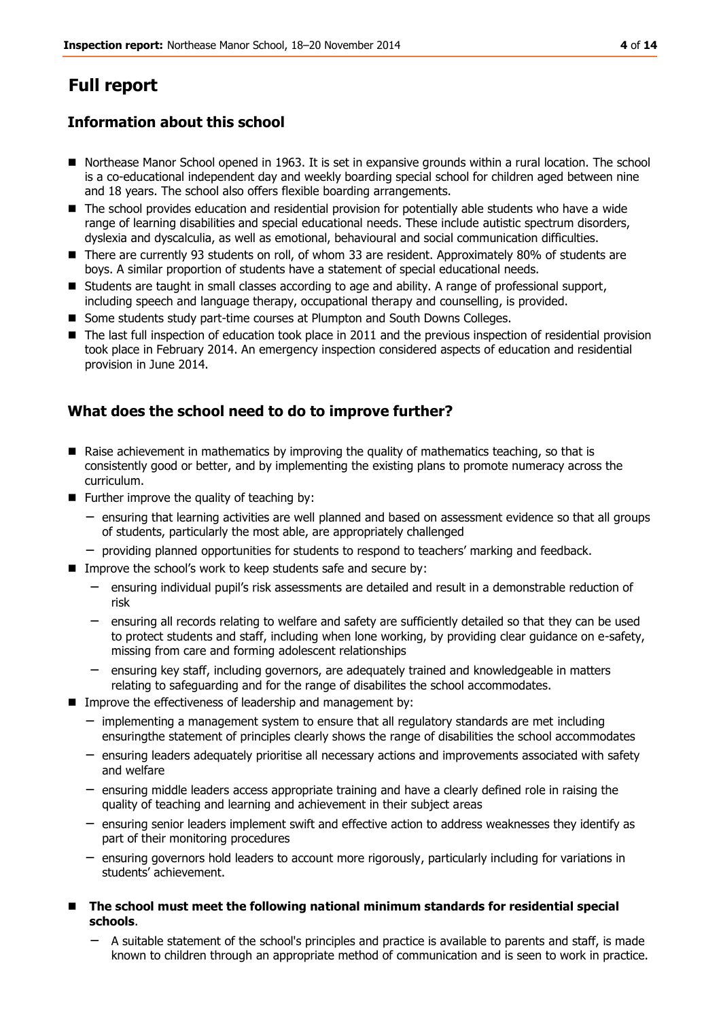# **Full report**

# **Information about this school**

- Northease Manor School opened in 1963. It is set in expansive grounds within a rural location. The school is a co-educational independent day and weekly boarding special school for children aged between nine and 18 years. The school also offers flexible boarding arrangements.
- The school provides education and residential provision for potentially able students who have a wide range of learning disabilities and special educational needs. These include autistic spectrum disorders, dyslexia and dyscalculia, as well as emotional, behavioural and social communication difficulties.
- There are currently 93 students on roll, of whom 33 are resident. Approximately 80% of students are boys. A similar proportion of students have a statement of special educational needs.
- **Students are taught in small classes according to age and ability. A range of professional support,** including speech and language therapy, occupational therapy and counselling, is provided.
- Some students study part-time courses at Plumpton and South Downs Colleges.
- The last full inspection of education took place in 2011 and the previous inspection of residential provision took place in February 2014. An emergency inspection considered aspects of education and residential provision in June 2014.

# **What does the school need to do to improve further?**

- $\blacksquare$  Raise achievement in mathematics by improving the quality of mathematics teaching, so that is consistently good or better, and by implementing the existing plans to promote numeracy across the curriculum.
- $\blacksquare$  Further improve the quality of teaching by:
	- − ensuring that learning activities are well planned and based on assessment evidence so that all groups of students, particularly the most able, are appropriately challenged
	- − providing planned opportunities for students to respond to teachers' marking and feedback.
- Improve the school's work to keep students safe and secure by:
	- − ensuring individual pupil's risk assessments are detailed and result in a demonstrable reduction of risk
	- − ensuring all records relating to welfare and safety are sufficiently detailed so that they can be used to protect students and staff, including when lone working, by providing clear guidance on e-safety, missing from care and forming adolescent relationships
	- − ensuring key staff, including governors, are adequately trained and knowledgeable in matters relating to safeguarding and for the range of disabilites the school accommodates.
- **IMPROVE THE EFFECTIVE ASSES** of leadership and management by:
	- − implementing a management system to ensure that all regulatory standards are met including ensuringthe statement of principles clearly shows the range of disabilities the school accommodates
	- − ensuring leaders adequately prioritise all necessary actions and improvements associated with safety and welfare
	- − ensuring middle leaders access appropriate training and have a clearly defined role in raising the quality of teaching and learning and achievement in their subject areas
	- − ensuring senior leaders implement swift and effective action to address weaknesses they identify as part of their monitoring procedures
	- − ensuring governors hold leaders to account more rigorously, particularly including for variations in students' achievement.
- The school must meet the following national minimum standards for residential special **schools**.
	- − A suitable statement of the school's principles and practice is available to parents and staff, is made known to children through an appropriate method of communication and is seen to work in practice.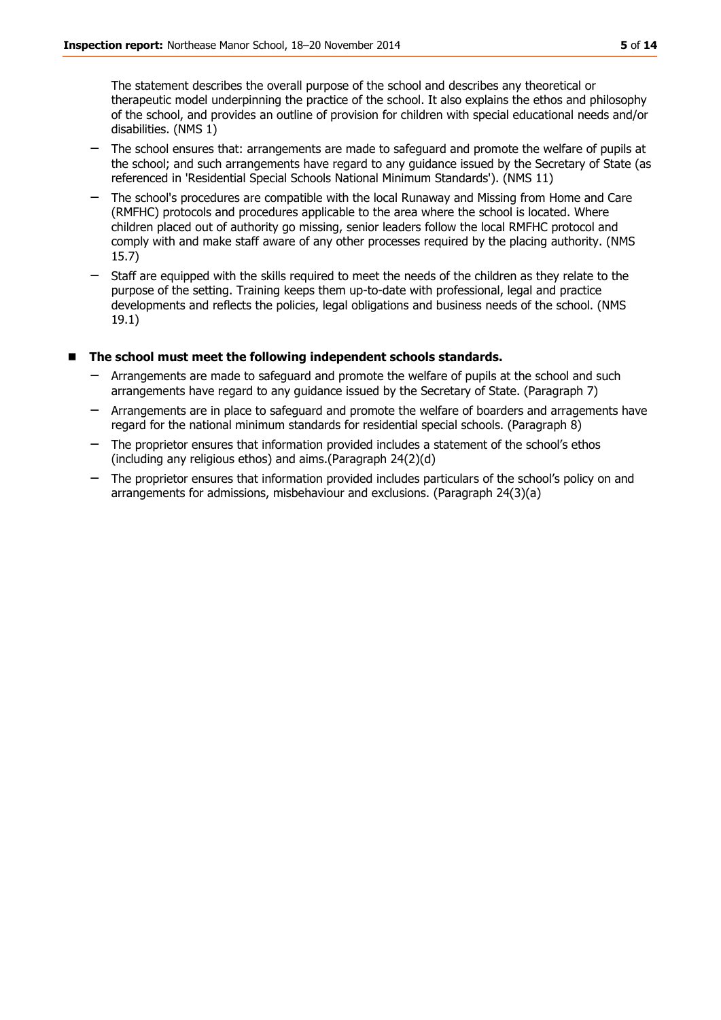The statement describes the overall purpose of the school and describes any theoretical or therapeutic model underpinning the practice of the school. It also explains the ethos and philosophy of the school, and provides an outline of provision for children with special educational needs and/or disabilities. (NMS 1)

- The school ensures that: arrangements are made to safeguard and promote the welfare of pupils at the school; and such arrangements have regard to any guidance issued by the Secretary of State (as referenced in 'Residential Special Schools National Minimum Standards'). (NMS 11)
- − The school's procedures are compatible with the local Runaway and Missing from Home and Care (RMFHC) protocols and procedures applicable to the area where the school is located. Where children placed out of authority go missing, senior leaders follow the local RMFHC protocol and comply with and make staff aware of any other processes required by the placing authority. (NMS 15.7)
- Staff are equipped with the skills required to meet the needs of the children as they relate to the purpose of the setting. Training keeps them up-to-date with professional, legal and practice developments and reflects the policies, legal obligations and business needs of the school. (NMS 19.1)

### **The school must meet the following independent schools standards.**

- − Arrangements are made to safeguard and promote the welfare of pupils at the school and such arrangements have regard to any guidance issued by the Secretary of State. (Paragraph 7)
- − Arrangements are in place to safeguard and promote the welfare of boarders and arragements have regard for the national minimum standards for residential special schools. (Paragraph 8)
- − The proprietor ensures that information provided includes a statement of the school's ethos (including any religious ethos) and aims.(Paragraph 24(2)(d)
- The proprietor ensures that information provided includes particulars of the school's policy on and arrangements for admissions, misbehaviour and exclusions. (Paragraph 24(3)(a)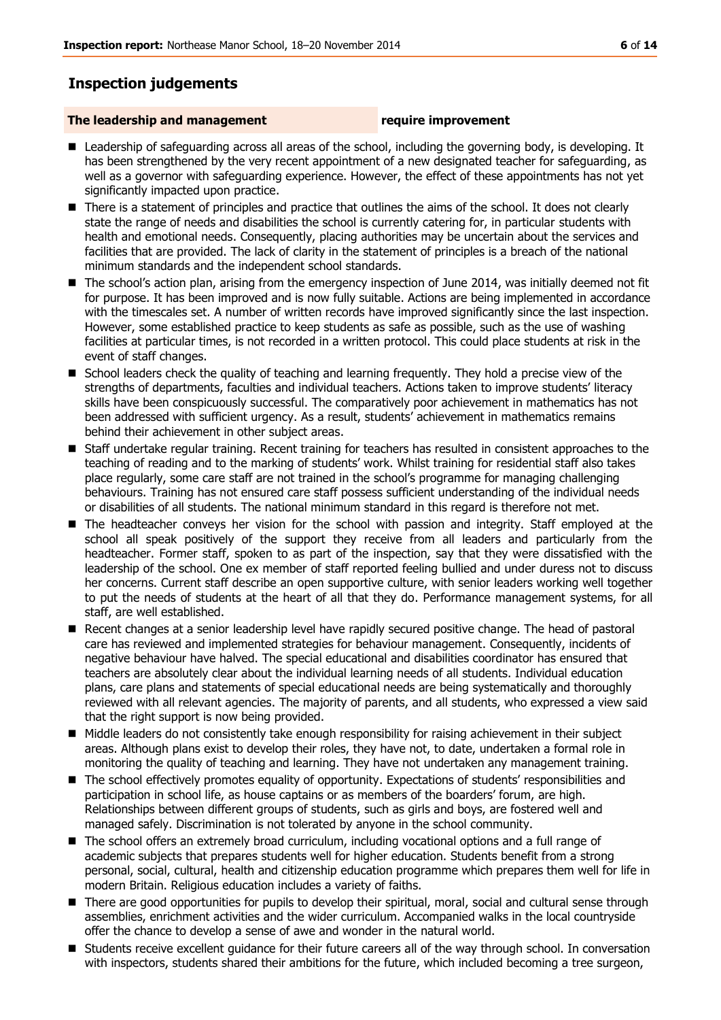# **Inspection judgements**

#### **The leadership and management require improvement**

- Leadership of safeguarding across all areas of the school, including the governing body, is developing. It has been strengthened by the very recent appointment of a new designated teacher for safeguarding, as well as a governor with safeguarding experience. However, the effect of these appointments has not yet significantly impacted upon practice.
- There is a statement of principles and practice that outlines the aims of the school. It does not clearly state the range of needs and disabilities the school is currently catering for, in particular students with health and emotional needs. Consequently, placing authorities may be uncertain about the services and facilities that are provided. The lack of clarity in the statement of principles is a breach of the national minimum standards and the independent school standards.
- The school's action plan, arising from the emergency inspection of June 2014, was initially deemed not fit for purpose. It has been improved and is now fully suitable. Actions are being implemented in accordance with the timescales set. A number of written records have improved significantly since the last inspection. However, some established practice to keep students as safe as possible, such as the use of washing facilities at particular times, is not recorded in a written protocol. This could place students at risk in the event of staff changes.
- **School leaders check the quality of teaching and learning frequently. They hold a precise view of the** strengths of departments, faculties and individual teachers. Actions taken to improve students' literacy skills have been conspicuously successful. The comparatively poor achievement in mathematics has not been addressed with sufficient urgency. As a result, students' achievement in mathematics remains behind their achievement in other subject areas.
- Staff undertake regular training. Recent training for teachers has resulted in consistent approaches to the teaching of reading and to the marking of students' work. Whilst training for residential staff also takes place regularly, some care staff are not trained in the school's programme for managing challenging behaviours. Training has not ensured care staff possess sufficient understanding of the individual needs or disabilities of all students. The national minimum standard in this regard is therefore not met.
- The headteacher conveys her vision for the school with passion and integrity. Staff emploved at the school all speak positively of the support they receive from all leaders and particularly from the headteacher. Former staff, spoken to as part of the inspection, say that they were dissatisfied with the leadership of the school. One ex member of staff reported feeling bullied and under duress not to discuss her concerns. Current staff describe an open supportive culture, with senior leaders working well together to put the needs of students at the heart of all that they do. Performance management systems, for all staff, are well established.
- Recent changes at a senior leadership level have rapidly secured positive change. The head of pastoral care has reviewed and implemented strategies for behaviour management. Consequently, incidents of negative behaviour have halved. The special educational and disabilities coordinator has ensured that teachers are absolutely clear about the individual learning needs of all students. Individual education plans, care plans and statements of special educational needs are being systematically and thoroughly reviewed with all relevant agencies. The majority of parents, and all students, who expressed a view said that the right support is now being provided.
- $\blacksquare$  Middle leaders do not consistently take enough responsibility for raising achievement in their subject areas. Although plans exist to develop their roles, they have not, to date, undertaken a formal role in monitoring the quality of teaching and learning. They have not undertaken any management training.
- The school effectively promotes equality of opportunity. Expectations of students' responsibilities and participation in school life, as house captains or as members of the boarders' forum, are high. Relationships between different groups of students, such as girls and boys, are fostered well and managed safely. Discrimination is not tolerated by anyone in the school community.
- The school offers an extremely broad curriculum, including vocational options and a full range of academic subjects that prepares students well for higher education. Students benefit from a strong personal, social, cultural, health and citizenship education programme which prepares them well for life in modern Britain. Religious education includes a variety of faiths.
- There are good opportunities for pupils to develop their spiritual, moral, social and cultural sense through assemblies, enrichment activities and the wider curriculum. Accompanied walks in the local countryside offer the chance to develop a sense of awe and wonder in the natural world.
- Students receive excellent guidance for their future careers all of the way through school. In conversation with inspectors, students shared their ambitions for the future, which included becoming a tree surgeon,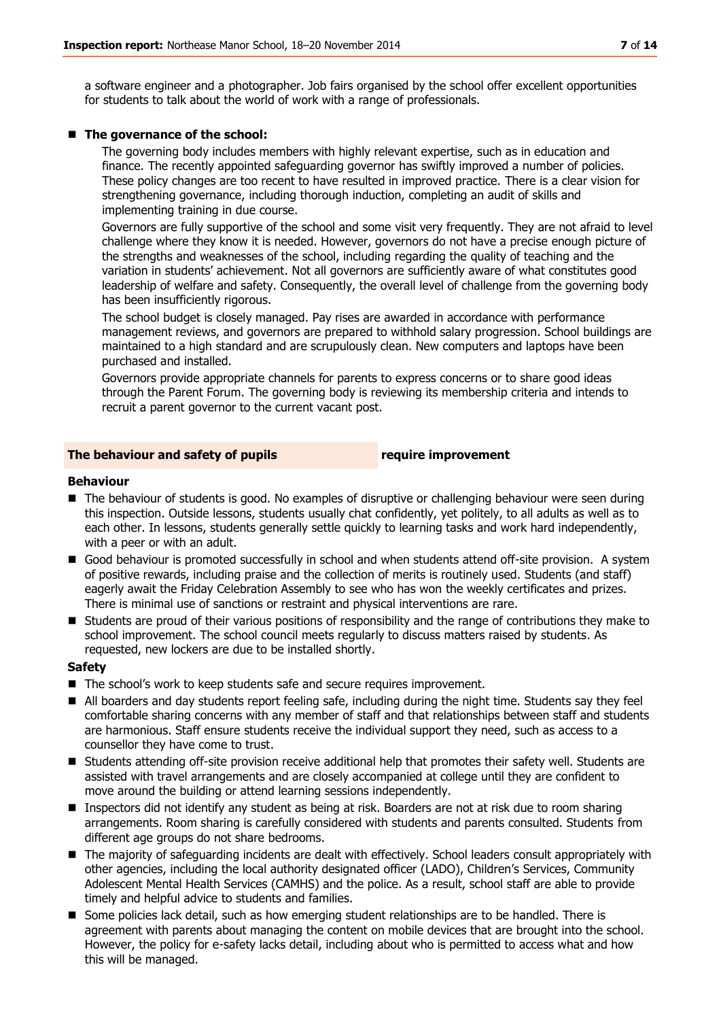a software engineer and a photographer. Job fairs organised by the school offer excellent opportunities for students to talk about the world of work with a range of professionals.

#### ■ The governance of the school:

The governing body includes members with highly relevant expertise, such as in education and finance. The recently appointed safeguarding governor has swiftly improved a number of policies. These policy changes are too recent to have resulted in improved practice. There is a clear vision for strengthening governance, including thorough induction, completing an audit of skills and implementing training in due course.

Governors are fully supportive of the school and some visit very frequently. They are not afraid to level challenge where they know it is needed. However, governors do not have a precise enough picture of the strengths and weaknesses of the school, including regarding the quality of teaching and the variation in students' achievement. Not all governors are sufficiently aware of what constitutes good leadership of welfare and safety. Consequently, the overall level of challenge from the governing body has been insufficiently rigorous.

The school budget is closely managed. Pay rises are awarded in accordance with performance management reviews, and governors are prepared to withhold salary progression. School buildings are maintained to a high standard and are scrupulously clean. New computers and laptops have been purchased and installed.

Governors provide appropriate channels for parents to express concerns or to share good ideas through the Parent Forum. The governing body is reviewing its membership criteria and intends to recruit a parent governor to the current vacant post.

#### **The behaviour and safety of pupils require improvement**

#### **Behaviour**

- The behaviour of students is good. No examples of disruptive or challenging behaviour were seen during this inspection. Outside lessons, students usually chat confidently, yet politely, to all adults as well as to each other. In lessons, students generally settle quickly to learning tasks and work hard independently, with a peer or with an adult.
- Good behaviour is promoted successfully in school and when students attend off-site provision. A system of positive rewards, including praise and the collection of merits is routinely used. Students (and staff) eagerly await the Friday Celebration Assembly to see who has won the weekly certificates and prizes. There is minimal use of sanctions or restraint and physical interventions are rare.
- Students are proud of their various positions of responsibility and the range of contributions they make to school improvement. The school council meets regularly to discuss matters raised by students. As requested, new lockers are due to be installed shortly.

#### **Safety**

- The school's work to keep students safe and secure requires improvement.
- All boarders and day students report feeling safe, including during the night time. Students say they feel comfortable sharing concerns with any member of staff and that relationships between staff and students are harmonious. Staff ensure students receive the individual support they need, such as access to a counsellor they have come to trust.
- Students attending off-site provision receive additional help that promotes their safety well. Students are assisted with travel arrangements and are closely accompanied at college until they are confident to move around the building or attend learning sessions independently.
- **Inspectors did not identify any student as being at risk. Boarders are not at risk due to room sharing** arrangements. Room sharing is carefully considered with students and parents consulted. Students from different age groups do not share bedrooms.
- The majority of safeguarding incidents are dealt with effectively. School leaders consult appropriately with other agencies, including the local authority designated officer (LADO), Children's Services, Community Adolescent Mental Health Services (CAMHS) and the police. As a result, school staff are able to provide timely and helpful advice to students and families.
- **Some policies lack detail, such as how emerging student relationships are to be handled. There is** agreement with parents about managing the content on mobile devices that are brought into the school. However, the policy for e-safety lacks detail, including about who is permitted to access what and how this will be managed.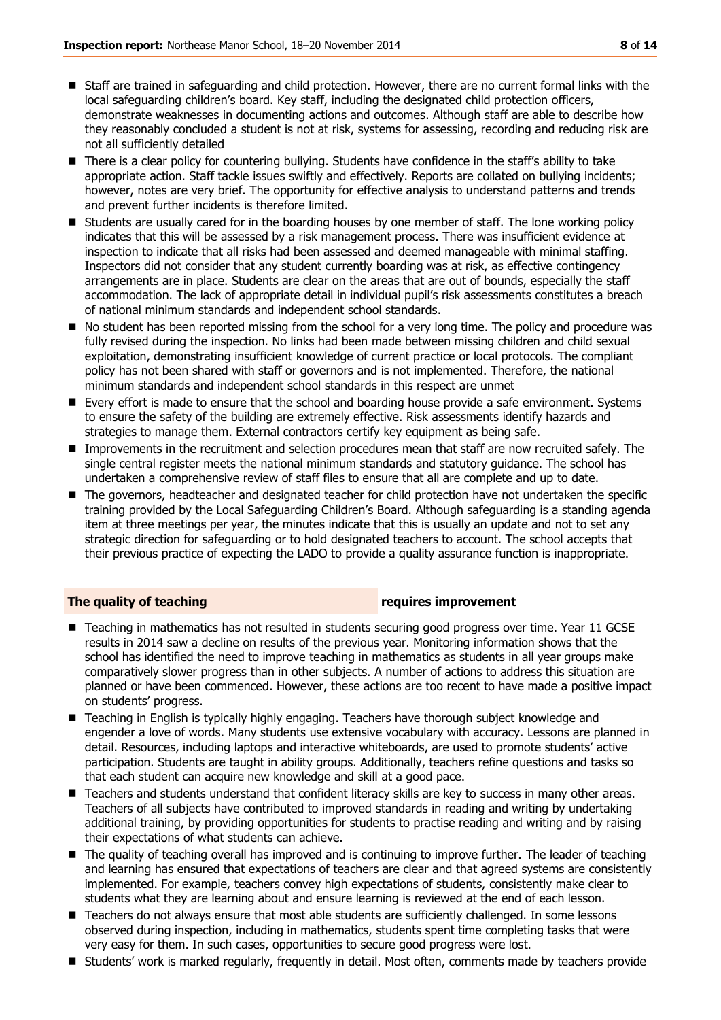- Staff are trained in safeguarding and child protection. However, there are no current formal links with the local safeguarding children's board. Key staff, including the designated child protection officers, demonstrate weaknesses in documenting actions and outcomes. Although staff are able to describe how they reasonably concluded a student is not at risk, systems for assessing, recording and reducing risk are not all sufficiently detailed
- There is a clear policy for countering bullying. Students have confidence in the staff's ability to take appropriate action. Staff tackle issues swiftly and effectively. Reports are collated on bullying incidents; however, notes are very brief. The opportunity for effective analysis to understand patterns and trends and prevent further incidents is therefore limited.
- Students are usually cared for in the boarding houses by one member of staff. The lone working policy indicates that this will be assessed by a risk management process. There was insufficient evidence at inspection to indicate that all risks had been assessed and deemed manageable with minimal staffing. Inspectors did not consider that any student currently boarding was at risk, as effective contingency arrangements are in place. Students are clear on the areas that are out of bounds, especially the staff accommodation. The lack of appropriate detail in individual pupil's risk assessments constitutes a breach of national minimum standards and independent school standards.
- No student has been reported missing from the school for a very long time. The policy and procedure was fully revised during the inspection. No links had been made between missing children and child sexual exploitation, demonstrating insufficient knowledge of current practice or local protocols. The compliant policy has not been shared with staff or governors and is not implemented. Therefore, the national minimum standards and independent school standards in this respect are unmet
- **E** Every effort is made to ensure that the school and boarding house provide a safe environment. Systems to ensure the safety of the building are extremely effective. Risk assessments identify hazards and strategies to manage them. External contractors certify key equipment as being safe.
- **IMP** Improvements in the recruitment and selection procedures mean that staff are now recruited safely. The single central register meets the national minimum standards and statutory guidance. The school has undertaken a comprehensive review of staff files to ensure that all are complete and up to date.
- The governors, headteacher and designated teacher for child protection have not undertaken the specific training provided by the Local Safeguarding Children's Board. Although safeguarding is a standing agenda item at three meetings per year, the minutes indicate that this is usually an update and not to set any strategic direction for safeguarding or to hold designated teachers to account. The school accepts that their previous practice of expecting the LADO to provide a quality assurance function is inappropriate.

#### **The quality of teaching requires improvement**

- Teaching in mathematics has not resulted in students securing good progress over time. Year 11 GCSE results in 2014 saw a decline on results of the previous year. Monitoring information shows that the school has identified the need to improve teaching in mathematics as students in all year groups make comparatively slower progress than in other subjects. A number of actions to address this situation are planned or have been commenced. However, these actions are too recent to have made a positive impact on students' progress.
- Teaching in English is typically highly engaging. Teachers have thorough subject knowledge and engender a love of words. Many students use extensive vocabulary with accuracy. Lessons are planned in detail. Resources, including laptops and interactive whiteboards, are used to promote students' active participation. Students are taught in ability groups. Additionally, teachers refine questions and tasks so that each student can acquire new knowledge and skill at a good pace.
- Teachers and students understand that confident literacy skills are key to success in many other areas. Teachers of all subjects have contributed to improved standards in reading and writing by undertaking additional training, by providing opportunities for students to practise reading and writing and by raising their expectations of what students can achieve.
- The quality of teaching overall has improved and is continuing to improve further. The leader of teaching and learning has ensured that expectations of teachers are clear and that agreed systems are consistently implemented. For example, teachers convey high expectations of students, consistently make clear to students what they are learning about and ensure learning is reviewed at the end of each lesson.
- Teachers do not always ensure that most able students are sufficiently challenged. In some lessons observed during inspection, including in mathematics, students spent time completing tasks that were very easy for them. In such cases, opportunities to secure good progress were lost.
- Students' work is marked regularly, frequently in detail. Most often, comments made by teachers provide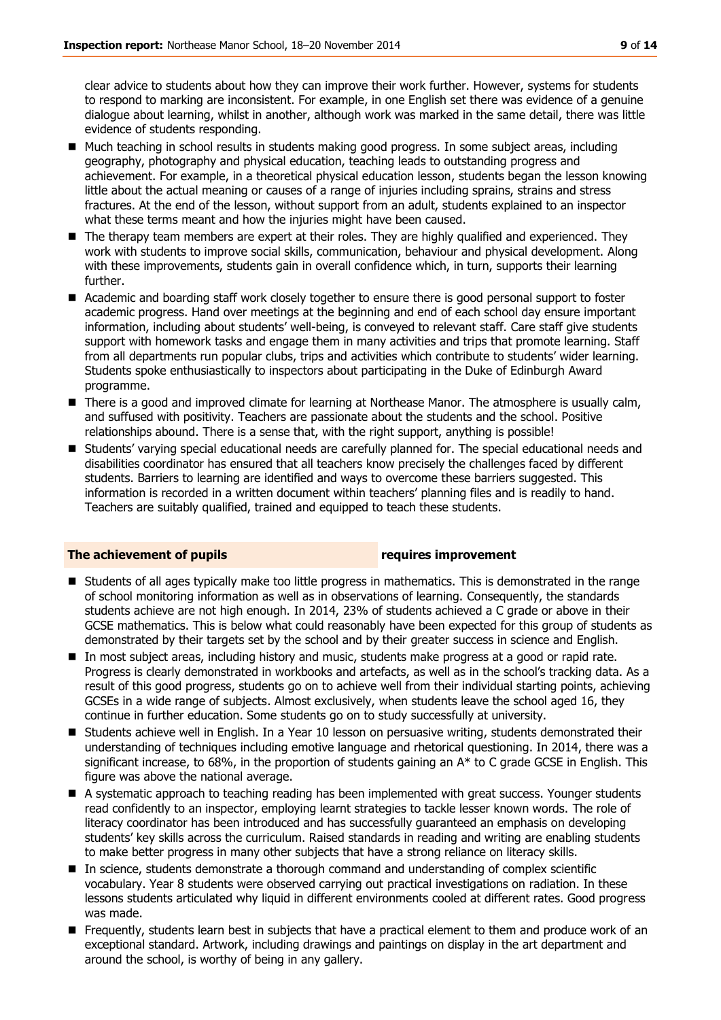clear advice to students about how they can improve their work further. However, systems for students to respond to marking are inconsistent. For example, in one English set there was evidence of a genuine dialogue about learning, whilst in another, although work was marked in the same detail, there was little evidence of students responding.

- Much teaching in school results in students making good progress. In some subject areas, including geography, photography and physical education, teaching leads to outstanding progress and achievement. For example, in a theoretical physical education lesson, students began the lesson knowing little about the actual meaning or causes of a range of injuries including sprains, strains and stress fractures. At the end of the lesson, without support from an adult, students explained to an inspector what these terms meant and how the injuries might have been caused.
- The therapy team members are expert at their roles. They are highly qualified and experienced. They work with students to improve social skills, communication, behaviour and physical development. Along with these improvements, students gain in overall confidence which, in turn, supports their learning further.
- Academic and boarding staff work closely together to ensure there is good personal support to foster academic progress. Hand over meetings at the beginning and end of each school day ensure important information, including about students' well-being, is conveyed to relevant staff. Care staff give students support with homework tasks and engage them in many activities and trips that promote learning. Staff from all departments run popular clubs, trips and activities which contribute to students' wider learning. Students spoke enthusiastically to inspectors about participating in the Duke of Edinburgh Award programme.
- **There is a good and improved climate for learning at Northease Manor. The atmosphere is usually calm,** and suffused with positivity. Teachers are passionate about the students and the school. Positive relationships abound. There is a sense that, with the right support, anything is possible!
- Students' varying special educational needs are carefully planned for. The special educational needs and disabilities coordinator has ensured that all teachers know precisely the challenges faced by different students. Barriers to learning are identified and ways to overcome these barriers suggested. This information is recorded in a written document within teachers' planning files and is readily to hand. Teachers are suitably qualified, trained and equipped to teach these students.

#### **The achievement of pupils requires improvement**

- Students of all ages typically make too little progress in mathematics. This is demonstrated in the range of school monitoring information as well as in observations of learning. Consequently, the standards students achieve are not high enough. In 2014, 23% of students achieved a C grade or above in their GCSE mathematics. This is below what could reasonably have been expected for this group of students as demonstrated by their targets set by the school and by their greater success in science and English.
- In most subject areas, including history and music, students make progress at a good or rapid rate. Progress is clearly demonstrated in workbooks and artefacts, as well as in the school's tracking data. As a result of this good progress, students go on to achieve well from their individual starting points, achieving GCSEs in a wide range of subjects. Almost exclusively, when students leave the school aged 16, they continue in further education. Some students go on to study successfully at university.
- Students achieve well in English. In a Year 10 lesson on persuasive writing, students demonstrated their understanding of techniques including emotive language and rhetorical questioning. In 2014, there was a significant increase, to 68%, in the proportion of students gaining an  $A^*$  to C grade GCSE in English. This figure was above the national average.
- A systematic approach to teaching reading has been implemented with great success. Younger students read confidently to an inspector, employing learnt strategies to tackle lesser known words. The role of literacy coordinator has been introduced and has successfully guaranteed an emphasis on developing students' key skills across the curriculum. Raised standards in reading and writing are enabling students to make better progress in many other subjects that have a strong reliance on literacy skills.
- In science, students demonstrate a thorough command and understanding of complex scientific vocabulary. Year 8 students were observed carrying out practical investigations on radiation. In these lessons students articulated why liquid in different environments cooled at different rates. Good progress was made.
- Frequently, students learn best in subjects that have a practical element to them and produce work of an exceptional standard. Artwork, including drawings and paintings on display in the art department and around the school, is worthy of being in any gallery.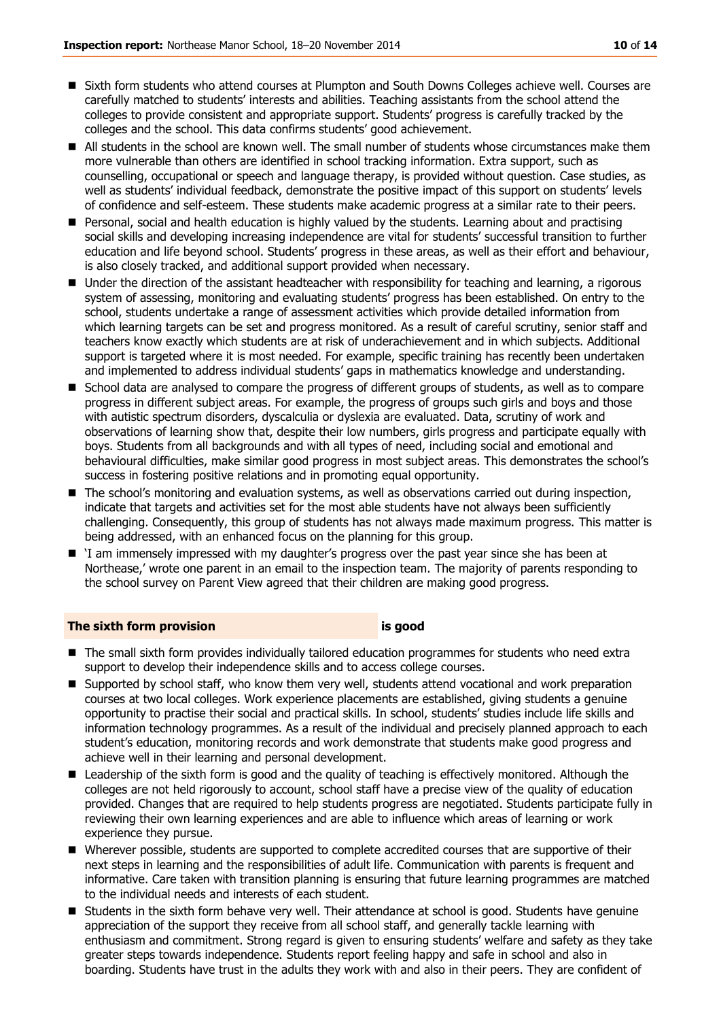- Sixth form students who attend courses at Plumpton and South Downs Colleges achieve well. Courses are carefully matched to students' interests and abilities. Teaching assistants from the school attend the colleges to provide consistent and appropriate support. Students' progress is carefully tracked by the colleges and the school. This data confirms students' good achievement.
- All students in the school are known well. The small number of students whose circumstances make them more vulnerable than others are identified in school tracking information. Extra support, such as counselling, occupational or speech and language therapy, is provided without question. Case studies, as well as students' individual feedback, demonstrate the positive impact of this support on students' levels of confidence and self-esteem. These students make academic progress at a similar rate to their peers.
- **Personal, social and health education is highly valued by the students. Learning about and practising** social skills and developing increasing independence are vital for students' successful transition to further education and life beyond school. Students' progress in these areas, as well as their effort and behaviour, is also closely tracked, and additional support provided when necessary.
- Under the direction of the assistant headteacher with responsibility for teaching and learning, a rigorous system of assessing, monitoring and evaluating students' progress has been established. On entry to the school, students undertake a range of assessment activities which provide detailed information from which learning targets can be set and progress monitored. As a result of careful scrutiny, senior staff and teachers know exactly which students are at risk of underachievement and in which subjects. Additional support is targeted where it is most needed. For example, specific training has recently been undertaken and implemented to address individual students' gaps in mathematics knowledge and understanding.
- **School data are analysed to compare the progress of different groups of students, as well as to compare** progress in different subject areas. For example, the progress of groups such girls and boys and those with autistic spectrum disorders, dyscalculia or dyslexia are evaluated. Data, scrutiny of work and observations of learning show that, despite their low numbers, girls progress and participate equally with boys. Students from all backgrounds and with all types of need, including social and emotional and behavioural difficulties, make similar good progress in most subject areas. This demonstrates the school's success in fostering positive relations and in promoting equal opportunity.
- The school's monitoring and evaluation systems, as well as observations carried out during inspection, indicate that targets and activities set for the most able students have not always been sufficiently challenging. Consequently, this group of students has not always made maximum progress. This matter is being addressed, with an enhanced focus on the planning for this group.
- 'I am immensely impressed with my daughter's progress over the past year since she has been at Northease,' wrote one parent in an email to the inspection team. The majority of parents responding to the school survey on Parent View agreed that their children are making good progress.

#### **The sixth form provision is good**

- The small sixth form provides individually tailored education programmes for students who need extra support to develop their independence skills and to access college courses.
- Supported by school staff, who know them very well, students attend vocational and work preparation courses at two local colleges. Work experience placements are established, giving students a genuine opportunity to practise their social and practical skills. In school, students' studies include life skills and information technology programmes. As a result of the individual and precisely planned approach to each student's education, monitoring records and work demonstrate that students make good progress and achieve well in their learning and personal development.
- Leadership of the sixth form is good and the quality of teaching is effectively monitored. Although the colleges are not held rigorously to account, school staff have a precise view of the quality of education provided. Changes that are required to help students progress are negotiated. Students participate fully in reviewing their own learning experiences and are able to influence which areas of learning or work experience they pursue.
- Wherever possible, students are supported to complete accredited courses that are supportive of their next steps in learning and the responsibilities of adult life. Communication with parents is frequent and informative. Care taken with transition planning is ensuring that future learning programmes are matched to the individual needs and interests of each student.
- **Students in the sixth form behave very well. Their attendance at school is good. Students have genuine** appreciation of the support they receive from all school staff, and generally tackle learning with enthusiasm and commitment. Strong regard is given to ensuring students' welfare and safety as they take greater steps towards independence. Students report feeling happy and safe in school and also in boarding. Students have trust in the adults they work with and also in their peers. They are confident of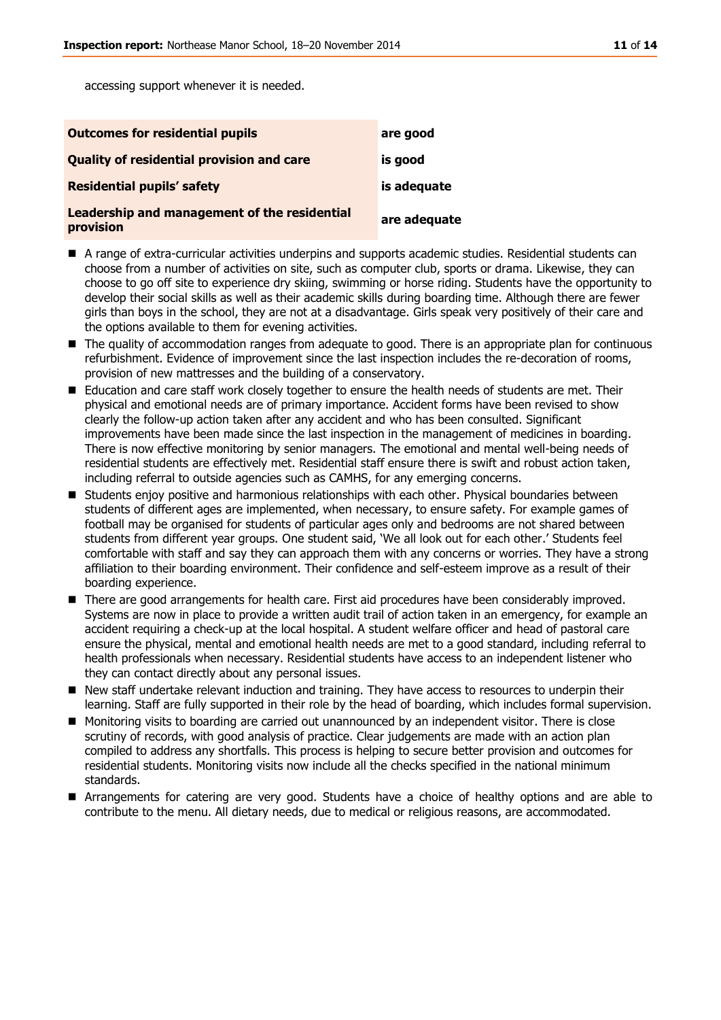accessing support whenever it is needed.

| <b>Outcomes for residential pupils</b>                    | are good     |
|-----------------------------------------------------------|--------------|
| <b>Quality of residential provision and care</b>          | is good      |
| <b>Residential pupils' safety</b>                         | is adequate  |
| Leadership and management of the residential<br>provision | are adequate |

- A range of extra-curricular activities underpins and supports academic studies. Residential students can choose from a number of activities on site, such as computer club, sports or drama. Likewise, they can choose to go off site to experience dry skiing, swimming or horse riding. Students have the opportunity to develop their social skills as well as their academic skills during boarding time. Although there are fewer girls than boys in the school, they are not at a disadvantage. Girls speak very positively of their care and the options available to them for evening activities.
- The quality of accommodation ranges from adequate to good. There is an appropriate plan for continuous refurbishment. Evidence of improvement since the last inspection includes the re-decoration of rooms, provision of new mattresses and the building of a conservatory.
- Education and care staff work closely together to ensure the health needs of students are met. Their physical and emotional needs are of primary importance. Accident forms have been revised to show clearly the follow-up action taken after any accident and who has been consulted. Significant improvements have been made since the last inspection in the management of medicines in boarding. There is now effective monitoring by senior managers. The emotional and mental well-being needs of residential students are effectively met. Residential staff ensure there is swift and robust action taken, including referral to outside agencies such as CAMHS, for any emerging concerns.
- **Students enjoy positive and harmonious relationships with each other. Physical boundaries between** students of different ages are implemented, when necessary, to ensure safety. For example games of football may be organised for students of particular ages only and bedrooms are not shared between students from different year groups. One student said, 'We all look out for each other.' Students feel comfortable with staff and say they can approach them with any concerns or worries. They have a strong affiliation to their boarding environment. Their confidence and self-esteem improve as a result of their boarding experience.
- **There are good arrangements for health care. First aid procedures have been considerably improved.** Systems are now in place to provide a written audit trail of action taken in an emergency, for example an accident requiring a check-up at the local hospital. A student welfare officer and head of pastoral care ensure the physical, mental and emotional health needs are met to a good standard, including referral to health professionals when necessary. Residential students have access to an independent listener who they can contact directly about any personal issues.
- New staff undertake relevant induction and training. They have access to resources to underpin their learning. Staff are fully supported in their role by the head of boarding, which includes formal supervision.
- Monitoring visits to boarding are carried out unannounced by an independent visitor. There is close scrutiny of records, with good analysis of practice. Clear judgements are made with an action plan compiled to address any shortfalls. This process is helping to secure better provision and outcomes for residential students. Monitoring visits now include all the checks specified in the national minimum standards.
- Arrangements for catering are very good. Students have a choice of healthy options and are able to contribute to the menu. All dietary needs, due to medical or religious reasons, are accommodated.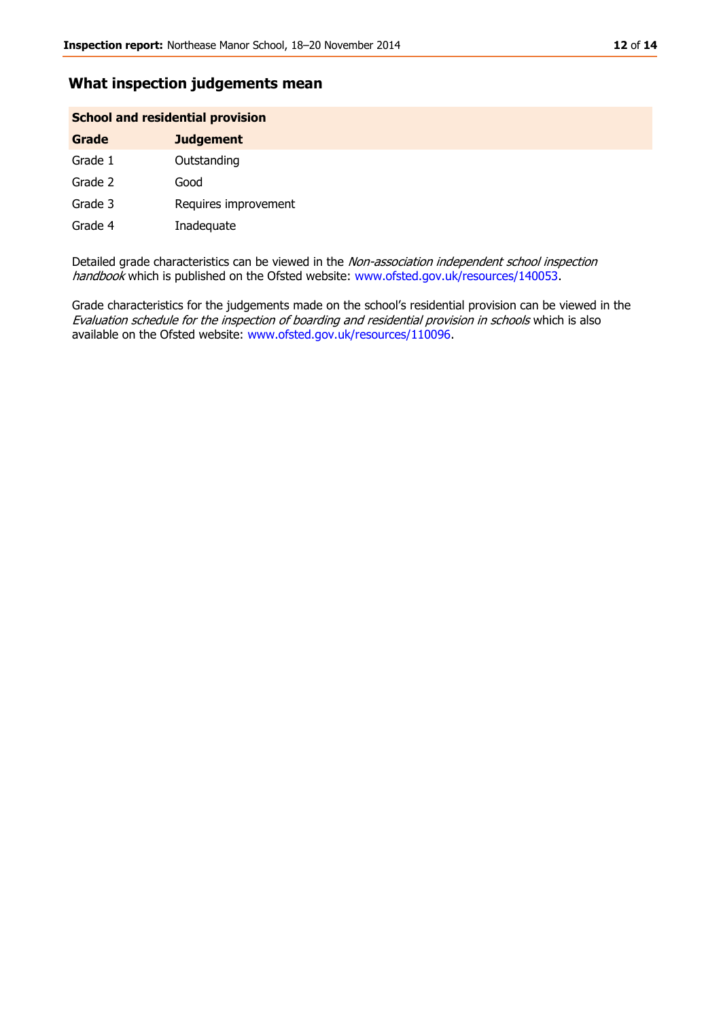### **What inspection judgements mean**

#### **School and residential provision**

| Grade   | <b>Judgement</b>     |
|---------|----------------------|
| Grade 1 | Outstanding          |
| Grade 2 | Good                 |
| Grade 3 | Requires improvement |
| Grade 4 | Inadequate           |

Detailed grade characteristics can be viewed in the Non-association independent school inspection handbook which is published on the Ofsted website: [www.ofsted.gov.uk/resources/140053.](http://www.ofsted.gov.uk/resources/140053)

Grade characteristics for the judgements made on the school's residential provision can be viewed in the Evaluation schedule for the inspection of boarding and residential provision in schools which is also available on the Ofsted website: [www.ofsted.gov.uk/resources/110096.](http://www.ofsted.gov.uk/resources/110096)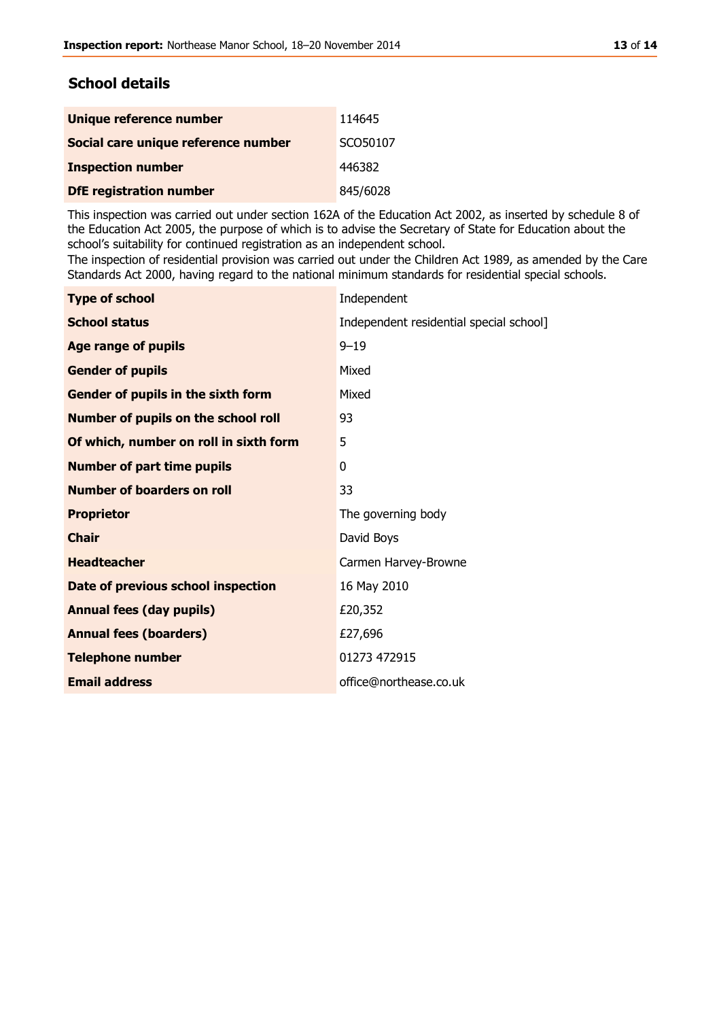# **School details**

| Unique reference number             | 114645   |
|-------------------------------------|----------|
| Social care unique reference number | SCO50107 |
| <b>Inspection number</b>            | 446382   |
| <b>DfE registration number</b>      | 845/6028 |

This inspection was carried out under section 162A of the Education Act 2002, as inserted by schedule 8 of the Education Act 2005, the purpose of which is to advise the Secretary of State for Education about the school's suitability for continued registration as an independent school.

The inspection of residential provision was carried out under the Children Act 1989, as amended by the Care Standards Act 2000, having regard to the national minimum standards for residential special schools.

| Independent                             |
|-----------------------------------------|
| Independent residential special school] |
| $9 - 19$                                |
| Mixed                                   |
| Mixed                                   |
| 93                                      |
| 5                                       |
| 0                                       |
| 33                                      |
| The governing body                      |
| David Boys                              |
| Carmen Harvey-Browne                    |
| 16 May 2010                             |
| £20,352                                 |
| £27,696                                 |
| 01273 472915                            |
| office@northease.co.uk                  |
|                                         |